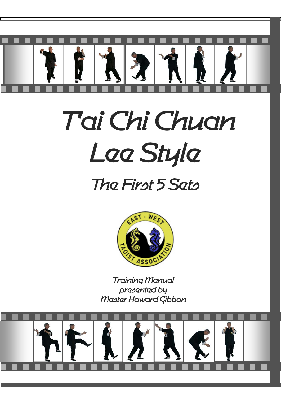

# T'ai Chi Chuan Lee Style

## The First 5 Sets



Training Manual presented by Master Howard Gibbon

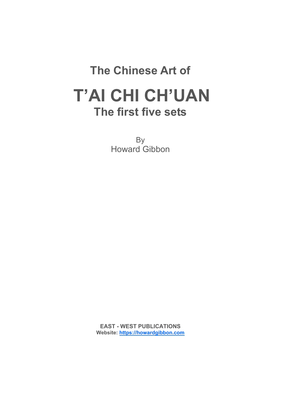## **The Chinese Art of T'AI CHI CH'UAN The first five sets**

**By** Howard Gibbon

**EAST - WEST PUBLICATIONS Website: https://howardgibbon.com**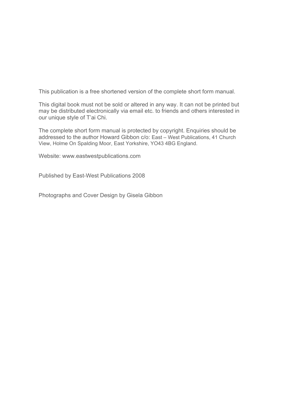This publication is a free shortened version of the complete short form manual.

This digital book must not be sold or altered in any way. It can not be printed but may be distributed electronically via email etc. to friends and others interested in our unique style of T'ai Chi.

The complete short form manual is protected by copyright. Enquiries should be addressed to the author Howard Gibbon c/o: East – West Publications, 41 Church View, Holme On Spalding Moor, East Yorkshire, YO43 4BG England.

Website: www.eastwestpublications.com

Published by East-West Publications 2008

Photographs and Cover Design by Gisela Gibbon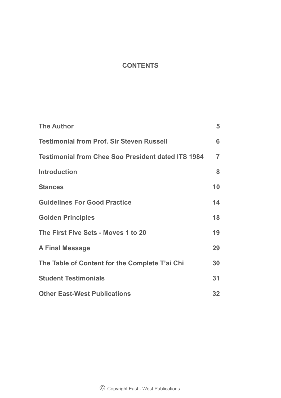#### **CONTENTS**

| <b>The Author</b>                                         | 5              |
|-----------------------------------------------------------|----------------|
| <b>Testimonial from Prof. Sir Steven Russell</b>          | 6              |
| <b>Testimonial from Chee Soo President dated ITS 1984</b> | $\overline{7}$ |
| <b>Introduction</b>                                       | 8              |
| <b>Stances</b>                                            | 10             |
| <b>Guidelines For Good Practice</b>                       | 14             |
| <b>Golden Principles</b>                                  | 18             |
| The First Five Sets - Moves 1 to 20                       | 19             |
| <b>A Final Message</b>                                    | 29             |
| The Table of Content for the Complete T'ai Chi            | 30             |
| <b>Student Testimonials</b>                               | 31             |
| <b>Other East-West Publications</b>                       | 32             |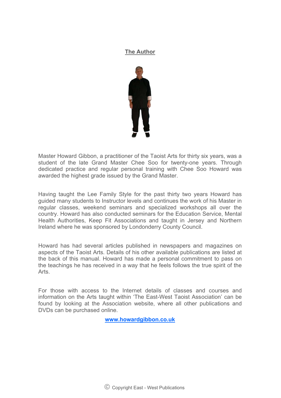**The Author**



Master Howard Gibbon, a practitioner of the Taoist Arts for thirty six years, was a student of the late Grand Master Chee Soo for twenty-one years. Through dedicated practice and regular personal training with Chee Soo Howard was awarded the highest grade issued by the Grand Master.

Having taught the Lee Family Style for the past thirty two years Howard has guided many students to Instructor levels and continues the work of his Master in regular classes, weekend seminars and specialized workshops all over the country. Howard has also conducted seminars for the Education Service, Mental Health Authorities, Keep Fit Associations and taught in Jersey and Northern Ireland where he was sponsored by Londonderry County Council.

Howard has had several articles published in newspapers and magazines on aspects of the Taoist Arts. Details of his other available publications are listed at the back of this manual. Howard has made a personal commitment to pass on the teachings he has received in a way that he feels follows the true spirit of the Arts.

For those with access to the Internet details of classes and courses and information on the Arts taught within 'The East-West Taoist Association' can be found by looking at the Association website, where all other publications and DVDs can be purchased online.

**www.howardgibbon.co.uk**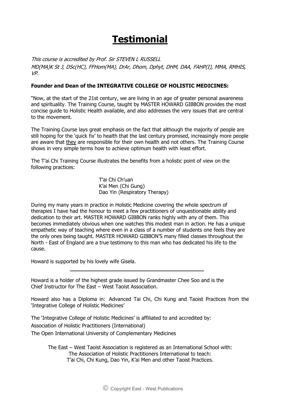### **Testimonial**

This course is accredited by Prof. Sir STEVEN L RUSSELL MD(MA)K St J, DSc(HC), FFHom(MA), DrAr, Dhom, Dphyt, DHM, DAA, FAHP(I), MMA, RMHIS, VP.

#### **Founder and Dean of the INTEGRATIVE COLLEGE OF HOLISTIC MEDICINES:**

"Now, at the start of the 21st century, we are living in an age of greater personal awareness and spirituality. The Training Course, taught by MASTER HOWARD GIBBON provides the most concise guide to Holistic Health available, and also addresses the very issues that are central to the movement.

The Training Course lays great emphasis on the fact that although the majority of people are still hoping for the 'quick fix' to health that the last century promised, increasingly more people are aware that they are responsible for their own health and not others. The Training Course shows in very simple terms how to achieve optimum health with least effort.

The T'ai Chi Training Course illustrates the benefits from a holistic point of view on the following practices:

> T'ai Chi Ch'uan K'ai Men (Chi Gung) Dao Yin (Respiratory Therapy)

During my many years in practice in Holistic Medicine covering the whole spectrum of therapies I have had the honour to meet a few practitioners of unquestionable ability and dedication to their art. MASTER HOWARD GIBBON ranks highly with any of them. This becomes immediately obvious when one watches this modest man in action. He has a unique empathetic way of teaching where even in a class of a number of students one feels they are the only ones being taught. MASTER HOWARD GIBBON'S many filled classes throughout the North - East of England are a true testimony to this man who has dedicated his life to the cause.

Howard is supported by his lovely wife Gisela.

Howard is a holder of the highest grade issued by Grandmaster Chee Soo and is the Chief Instructor for The East – West Taoist Association.

Howard also has a Diploma in: Advanced Tai Chi, Chi Kung and Taoist Practices from the 'Integrative College of Holistic Medicines'

The 'Integrative College of Holistic Medicines' is affiliated to and accredited by: Association of Holistic Practitioners (International) The Open International University of Complementary Medicines

The East – West Taoist Association is registered as an International School with: The Association of Holistic Practitioners International to teach: T'ai Chi, Chi Kung, Dao Yin, K'ai Men and other Taoist Practices.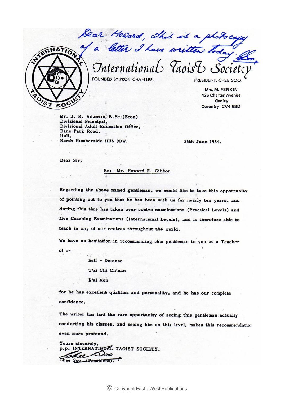RNATIO ST  $50$ 

Dear Howard, This is a photocopy

FOUNDED BY PROF. CHAN LEE.

PRESIDENT. CHEE SOO.

Mrs. M. PERKIN 426 Charter Avenue Canley Coventry CV4 8BD

Mr. J. R. Adamson, B.Sc.(Econ) Divisional Principal, Divisional Adult Education Office. Dane Park Road, Hull. North Humberside HU6 9DW.

25th June 1984.

Dear Sir.

#### Re: Mr. Howard F. Gibbon.

Regarding the above named gentleman, we would like to take this opportunity of pointing out to you that he has been with us for nearly ten years, and during this time has taken over twelve examinations (Practical Levels) and five Coaching Examinations (International Levels), and is therefore able to teach in any of our centres throughout the world.

We have no hesitation in recommending this gentleman to you as a Teacher of  $t -25$ 

> Self - Defense T'ai Chi Ch'uan K'ai Men

for he has excellent qualities and personality, and he has our complete confidence.

The writer has had the rare opportunity of seeing this gentleman actually conducting his classes, and seeing him on this level, makes this recommendation even more profound.

Yours sincerely, p.p. INTERNATIONAL TAOIST SOCIETY. Chee A Chee Soo (President).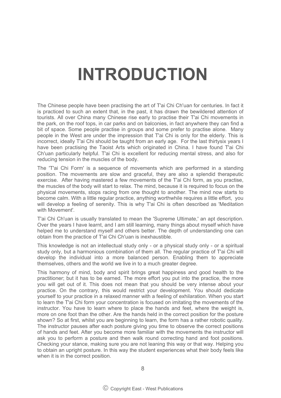## **INTRODUCTION**

The Chinese people have been practising the art of T'ai Chi Ch'uan for centuries. In fact it is practiced to such an extent that, in the past, it has drawn the bewildered attention of tourists. All over China many Chinese rise early to practise their T'ai Chi movements in the park, on the roof tops, in car parks and on balconies, in fact anywhere they can find a bit of space. Some people practise in groups and some prefer to practise alone. Many people in the West are under the impression that T'ai Chi is only for the elderly. This is incorrect, ideally T'ai Chi should be taught from an early age. For the last thirtysix years I have been practising the Taoist Arts which originated in China. I have found T'ai Chi Ch'uan particularly helpful. T'ai Chi is excellent for reducing mental stress, and also for reducing tension in the muscles of the body.

The 'T'ai Chi Form' is a sequence of movements which are performed in a standing position. The movements are slow and graceful, they are also a splendid therapeutic exercise. After having mastered a few movements of the T'ai Chi form, as you practise, the muscles of the body will start to relax. The mind, because it is required to focus on the physical movements, stops racing from one thought to another. The mind now starts to become calm. With a little regular practice, anything worthwhile requires a little effort, you will develop a feeling of serenity. This is why T'ai Chi is often described as 'Meditation with Movement'.

T'ai Chi Ch'uan is usually translated to mean the 'Supreme Ultimate,' an apt description. Over the years I have learnt, and I am still learning, many things about myself which have helped me to understand myself and others better. The depth of understanding one can obtain from the practice of T'ai Chi Ch'uan is inexhaustible.

This knowledge is not an intellectual study only - or a physical study only - or a spiritual study only, but a harmonious combination of them all. The regular practice of T'ai Chi will develop the individual into a more balanced person. Enabling them to appreciate themselves, others and the world we live in to a much greater degree.

This harmony of mind, body and spirit brings great happiness and good health to the practitioner; but it has to be earned. The more effort you put into the practice, the more you will get out of it. This does not mean that you should be very intense about your practice. On the contrary, this would restrict your development. You should dedicate yourself to your practice in a relaxed manner with a feeling of exhilaration. When you start to learn the T'ai Chi form your concentration is focused on imitating the movements of the instructor. You have to learn where to place the hands and feet, where the weight is, more on one foot than the other. Are the hands held in the correct position for the posture shown? So at first, whilst you are beginning to learn, the form has a rather robotic quality. The instructor pauses after each posture giving you time to observe the correct positions of hands and feet. After you become more familiar with the movements the instructor will ask you to perform a posture and then walk round correcting hand and foot positions. Checking your stance, making sure you are not leaning this way or that way. Helping you to obtain an upright posture. In this way the student experiences what their body feels like when it is in the correct position.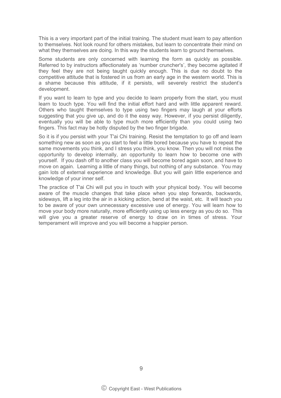This is a very important part of the initial training. The student must learn to pay attention to themselves. Not look round for others mistakes, but learn to concentrate their mind on what they themselves are doing. In this way the students learn to ground themselves.

Some students are only concerned with learning the form as quickly as possible. Referred to by instructors affectionately as 'number cruncher's', they become agitated if they feel they are not being taught quickly enough. This is due no doubt to the competitive attitude that is fostered in us from an early age in the western world. This is a shame because this attitude, if it persists, will severely restrict the student's development.

If you want to learn to type and you decide to learn properly from the start, you must learn to touch type. You will find the initial effort hard and with little apparent reward. Others who taught themselves to type using two fingers may laugh at your efforts suggesting that you give up, and do it the easy way. However, if you persist diligently, eventually you will be able to type much more efficiently than you could using two fingers. This fact may be hotly disputed by the two finger brigade.

So it is if you persist with your T'ai Chi training. Resist the temptation to go off and learn something new as soon as you start to feel a little bored because you have to repeat the same movements you think, and I stress you think, you know. Then you will not miss the opportunity to develop internally, an opportunity to learn how to become one with yourself. If you dash off to another class you will become bored again soon, and have to move on again. Learning a little of many things, but nothing of any substance. You may gain lots of external experience and knowledge. But you will gain little experience and knowledge of your inner self.

The practice of T'ai Chi will put you in touch with your physical body. You will become aware of the muscle changes that take place when you step forwards, backwards, sideways, lift a leg into the air in a kicking action, bend at the waist, etc. It will teach you to be aware of your own unnecessary excessive use of energy. You will learn how to move your body more naturally, more efficiently using up less energy as you do so. This will give you a greater reserve of energy to draw on in times of stress. Your temperament will improve and you will become a happier person.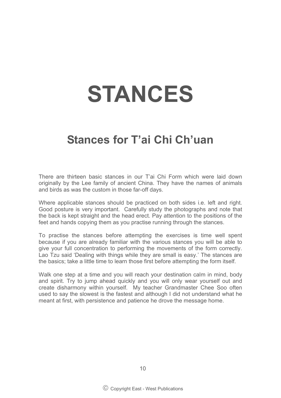# **STANCES**

### **Stances for T'ai Chi Ch'uan**

There are thirteen basic stances in our T'ai Chi Form which were laid down originally by the Lee family of ancient China. They have the names of animals and birds as was the custom in those far-off days.

Where applicable stances should be practiced on both sides i.e. left and right. Good posture is very important. Carefully study the photographs and note that the back is kept straight and the head erect. Pay attention to the positions of the feet and hands copying them as you practise running through the stances.

To practise the stances before attempting the exercises is time well spent because if you are already familiar with the various stances you will be able to give your full concentration to performing the movements of the form correctly. Lao Tzu said 'Dealing with things while they are small is easy.' The stances are the basics; take a little time to learn those first before attempting the form itself.

Walk one step at a time and you will reach your destination calm in mind, body and spirit. Try to jump ahead quickly and you will only wear yourself out and create disharmony within yourself. My teacher Grandmaster Chee Soo often used to say the slowest is the fastest and although I did not understand what he meant at first, with persistence and patience he drove the message home.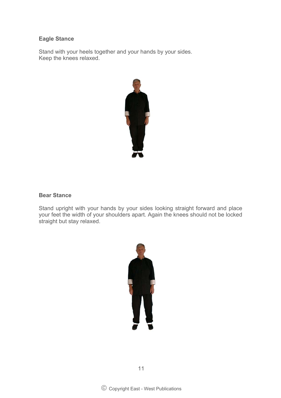#### **Eagle Stance**

Stand with your heels together and your hands by your sides. Keep the knees relaxed.



#### **Bear Stance**

Stand upright with your hands by your sides looking straight forward and place your feet the width of your shoulders apart. Again the knees should not be locked straight but stay relaxed.

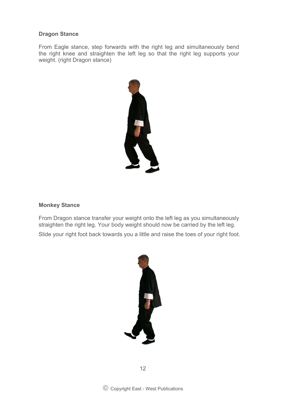#### **Dragon Stance**

From Eagle stance, step forwards with the right leg and simultaneously bend the right knee and straighten the left leg so that the right leg supports your weight. (right Dragon stance)



#### **Monkey Stance**

From Dragon stance transfer your weight onto the left leg as you simultaneously straighten the right leg. Your body weight should now be carried by the left leg.

Slide your right foot back towards you a little and raise the toes of your right foot.

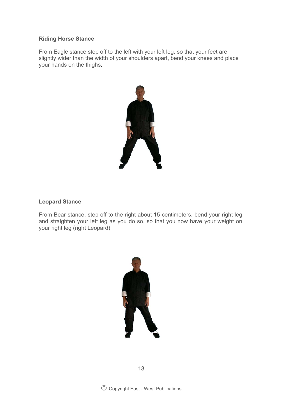#### **Riding Horse Stance**

From Eagle stance step off to the left with your left leg, so that your feet are slightly wider than the width of your shoulders apart, bend your knees and place your hands on the thighs.



#### **Leopard Stance**

From Bear stance, step off to the right about 15 centimeters, bend your right leg and straighten your left leg as you do so, so that you now have your weight on your right leg (right Leopard)

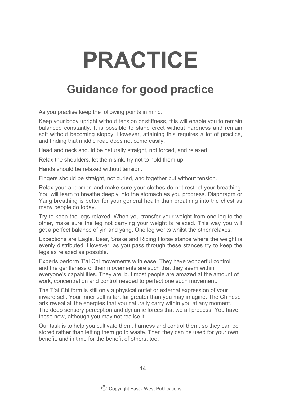# **PRACTICE**

### **Guidance for good practice**

As you practise keep the following points in mind.

Keep your body upright without tension or stiffness, this will enable you to remain balanced constantly. It is possible to stand erect without hardness and remain soft without becoming sloppy. However, attaining this requires a lot of practice, and finding that middle road does not come easily.

Head and neck should be naturally straight, not forced, and relaxed.

Relax the shoulders, let them sink, try not to hold them up.

Hands should be relaxed without tension.

Fingers should be straight, not curled, and together but without tension.

Relax your abdomen and make sure your clothes do not restrict your breathing. You will learn to breathe deeply into the stomach as you progress. Diaphragm or Yang breathing is better for your general health than breathing into the chest as many people do today.

Try to keep the legs relaxed. When you transfer your weight from one leg to the other, make sure the leg not carrying your weight is relaxed. This way you will get a perfect balance of yin and yang. One leg works whilst the other relaxes.

Exceptions are Eagle, Bear, Snake and Riding Horse stance where the weight is evenly distributed. However, as you pass through these stances try to keep the legs as relaxed as possible.

Experts perform T'ai Chi movements with ease. They have wonderful control, and the gentleness of their movements are such that they seem within everyone's capabilities. They are; but most people are amazed at the amount of work, concentration and control needed to perfect one such movement.

The T'ai Chi form is still only a physical outlet or external expression of your inward self. Your inner self is far, far greater than you may imagine. The Chinese arts reveal all the energies that you naturally carry within you at any moment. The deep sensory perception and dynamic forces that we all process. You have these now, although you may not realise it.

Our task is to help you cultivate them, harness and control them, so they can be stored rather than letting them go to waste. Then they can be used for your own benefit, and in time for the benefit of others, too.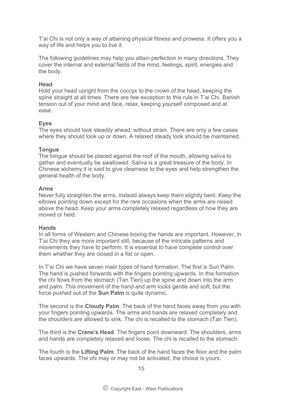T'ai Chi is not only a way of attaining physical fitness and prowess. It offers you a way of life and helps you to live it.

The following guidelines may help you attain perfection in many directions. They cover the internal and external fields of the mind, feelings, spirit, energies and the body.

#### **Head**

Hold your head upright from the coccyx to the crown of the head, keeping the spine straight at all times. There are few exception to this rule in T'ai Chi. Banish tension out of your mind and face, relax, keeping yourself composed and at ease.

#### **Eyes**

The eyes should look steadily ahead, without strain. There are only a few cases where they should look up or down. A relaxed steady look should be maintained.

#### **Tongue**

The tongue should be placed against the roof of the mouth, allowing saliva to gather and eventually be swallowed. Saliva is a great treasure of the body. In Chinese alchemy it is said to give clearness to the eyes and help strengthen the general health of the body.

#### **Arms**

Never fully straighten the arms, instead always keep them slightly bent. Keep the elbows pointing down except for the rare occasions when the arms are raised above the head. Keep your arms completely relaxed regardless of how they are moved or held.

#### **Hands**

In all forms of Western and Chinese boxing the hands are important. However, in T'ai Chi they are more important still, because of the intricate patterns and movements they have to perform. It is essential to have complete control over them whether they are closed in a fist or open.

In T'ai Chi we have seven main types of hand formation. The first is Sun Palm. The hand is pushed forwards with the fingers pointing upwards. In this formation the chi flows from the stomach (Tan Tien) up the spine and down into the arm and palm. This movement of the hand and arm looks gentle and soft, but the force pushed out of the **Sun Palm** is quite dynamic.

The second is the **Cloudy Palm**. The back of the hand faces away from you with your fingers pointing upwards. The arms and hands are relaxed completely and the shoulders are allowed to sink. The chi is recalled to the stomach (Tan Tien).

The third is the **Crane's Head**. The fingers point downward. The shoulders, arms and hands are completely relaxed and loose. The chi is recalled to the stomach.

The fourth is the **Lifting Palm**. The back of the hand faces the floor and the palm faces upwards. The chi may or may not be activated, the choice is yours.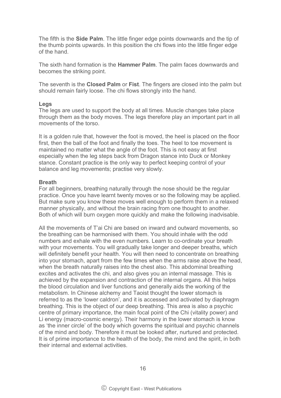The fifth is the **Side Palm**. The little finger edge points downwards and the tip of the thumb points upwards. In this position the chi flows into the little finger edge of the hand.

The sixth hand formation is the **Hammer Palm**. The palm faces downwards and becomes the striking point.

The seventh is the **Closed Palm** or **Fist**. The fingers are closed into the palm but should remain fairly loose. The chi flows strongly into the hand.

#### **Legs**

The legs are used to support the body at all times. Muscle changes take place through them as the body moves. The legs therefore play an important part in all movements of the torso.

It is a golden rule that, however the foot is moved, the heel is placed on the floor first, then the ball of the foot and finally the toes. The heel to toe movement is maintained no matter what the angle of the foot. This is not easy at first especially when the leg steps back from Dragon stance into Duck or Monkey stance. Constant practice is the only way to perfect keeping control of your balance and leg movements; practise very slowly.

#### **Breath**

For all beginners, breathing naturally through the nose should be the regular practice. Once you have learnt twenty moves or so the following may be applied. But make sure you know these moves well enough to perform them in a relaxed manner physically, and without the brain racing from one thought to another. Both of which will burn oxygen more quickly and make the following inadvisable.

All the movements of T'ai Chi are based on inward and outward movements, so the breathing can be harmonised with them. You should inhale with the odd numbers and exhale with the even numbers. Learn to co-ordinate your breath with your movements. You will gradually take longer and deeper breaths, which will definitely benefit your health. You will then need to concentrate on breathing into your stomach, apart from the few times when the arms raise above the head, when the breath naturally raises into the chest also. This abdominal breathing excites and activates the chi, and also gives you an internal massage. This is achieved by the expansion and contraction of the internal organs. All this helps the blood circulation and liver functions and generally aids the working of the metabolism. In Chinese alchemy and Taoist thought the lower stomach is referred to as the 'lower caldron', and it is accessed and activated by diaphragm breathing. This is the object of our deep breathing. This area is also a psychic centre of primary importance, the main focal point of the Chi (vitality power) and Li energy (macro-cosmic energy). Their harmony in the lower stomach is know as 'the inner circle' of the body which governs the spiritual and psychic channels of the mind and body. Therefore it must be looked after, nurtured and protected. It is of prime importance to the health of the body, the mind and the spirit, in both their internal and external activities.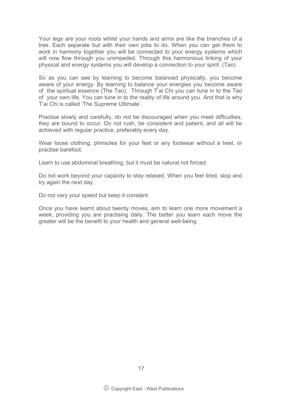Your legs are your roots whilst your hands and arms are like the branches of a tree. Each separate but with their own jobs to do. When you can get them to work in harmony together you will be connected to your energy systems which will now flow through you unimpeded. Through this harmonious linking of your physical and energy systems you will develop a connection to your spirit. (Tao)

So as you can see by learning to become balanced physically, you become aware of your energy. By learning to balance your energies you become aware of the spiritual essence (The Tao). Through T'ai Chi you can tune in to the Tao of your own life. You can tune in to the reality of life around you. And that is why T'ai Chi is called 'The Supreme Ultimate'.

Practise slowly and carefully, do not be discouraged when you meet difficulties, they are bound to occur. Do not rush, be consistent and patient, and all will be achieved with regular practice, preferably every day.

Wear loose clothing, plimsoles for your feet or any footwear without a heel, or practise barefoot.

Learn to use abdominal breathing, but it must be natural not forced.

Do not work beyond your capacity to stay relaxed. When you feel tired, stop and try again the next day.

Do not vary your speed but keep it constant.

Once you have learnt about twenty moves, aim to learn one more movement a week, providing you are practising daily. The better you learn each move the greater will be the benefit to your health and general well-being.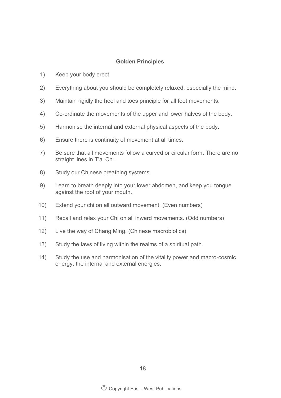#### **Golden Principles**

- 1) Keep your body erect.
- 2) Everything about you should be completely relaxed, especially the mind.
- 3) Maintain rigidly the heel and toes principle for all foot movements.
- 4) Co-ordinate the movements of the upper and lower halves of the body.
- 5) Harmonise the internal and external physical aspects of the body.
- 6) Ensure there is continuity of movement at all times.
- 7) Be sure that all movements follow a curved or circular form. There are no straight lines in T'ai Chi.
- 8) Study our Chinese breathing systems.
- 9) Learn to breath deeply into your lower abdomen, and keep you tongue against the roof of your mouth.
- 10) Extend your chi on all outward movement. (Even numbers)
- 11) Recall and relax your Chi on all inward movements. (Odd numbers)
- 12) Live the way of Chang Ming. (Chinese macrobiotics)
- 13) Study the laws of living within the realms of a spiritual path.
- 14) Study the use and harmonisation of the vitality power and macro-cosmic energy, the internal and external energies.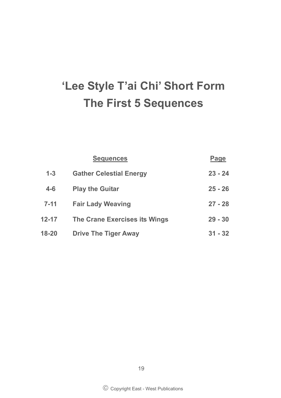## **'Lee Style T'ai Chi' Short Form The First 5 Sequences**

|           | <b>Sequences</b>               | Page      |
|-----------|--------------------------------|-----------|
| $1 - 3$   | <b>Gather Celestial Energy</b> | $23 - 24$ |
| $4-6$     | <b>Play the Guitar</b>         | $25 - 26$ |
| $7 - 11$  | <b>Fair Lady Weaving</b>       | $27 - 28$ |
| $12 - 17$ | The Crane Exercises its Wings  | $29 - 30$ |
| $18 - 20$ | <b>Drive The Tiger Away</b>    | $31 - 32$ |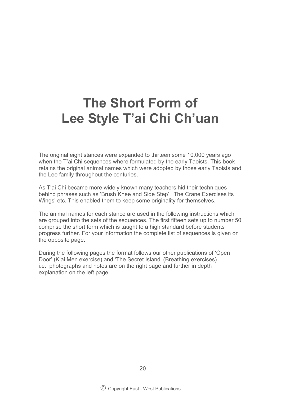## **The Short Form of Lee Style T'ai Chi Ch'uan**

The original eight stances were expanded to thirteen some 10,000 years ago when the T'ai Chi sequences where formulated by the early Taoists. This book retains the original animal names which were adopted by those early Taoists and the Lee family throughout the centuries.

As T'ai Chi became more widely known many teachers hid their techniques behind phrases such as 'Brush Knee and Side Step', 'The Crane Exercises its Wings' etc. This enabled them to keep some originality for themselves.

The animal names for each stance are used in the following instructions which are grouped into the sets of the sequences. The first fifteen sets up to number 50 comprise the short form which is taught to a high standard before students progress further. For your information the complete list of sequences is given on the opposite page.

During the following pages the format follows our other publications of 'Open Door' (K'ai Men exercise) and 'The Secret Island' (Breathing exercises) i.e. photographs and notes are on the right page and further in depth explanation on the left page.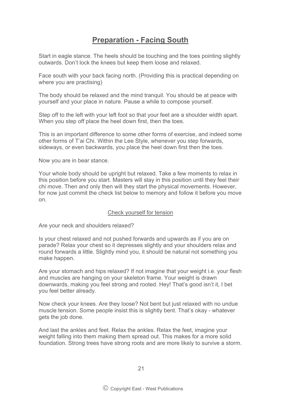#### **Preparation - Facing South**

Start in eagle stance. The heels should be touching and the toes pointing slightly outwards. Don't lock the knees but keep them loose and relaxed.

Face south with your back facing north. (Providing this is practical depending on where you are practising)

The body should be relaxed and the mind tranquil. You should be at peace with yourself and your place in nature. Pause a while to compose yourself.

Step off to the left with your left foot so that your feet are a shoulder width apart. When you step off place the heel down first, then the toes.

This is an important difference to some other forms of exercise, and indeed some other forms of T'ai Chi. Within the Lee Style, whenever you step forwards, sideways, or even backwards, you place the heel down first then the toes.

Now you are in bear stance.

Your whole body should be upright but relaxed. Take a few moments to relax in this position before you start. Masters will stay in this position until they feel their chi move. Then and only then will they start the physical movements. However, for now just commit the check list below to memory and follow it before you move on.

#### Check yourself for tension

Are your neck and shoulders relaxed?

Is your chest relaxed and not pushed forwards and upwards as if you are on parade? Relax your chest so it depresses slightly and your shoulders relax and round forwards a little. Slightly mind you, it should be natural not something you make happen.

Are your stomach and hips relaxed? If not imagine that your weight i.e. your flesh and muscles are hanging on your skeleton frame. Your weight is drawn downwards, making you feel strong and rooted. Hey! That's good isn't it, I bet you feel better already.

Now check your knees. Are they loose? Not bent but just relaxed with no undue muscle tension. Some people insist this is slightly bent. That's okay - whatever gets the job done.

And last the ankles and feet. Relax the ankles. Relax the feet, imagine your weight falling into them making them spread out. This makes for a more solid foundation. Strong trees have strong roots and are more likely to survive a storm.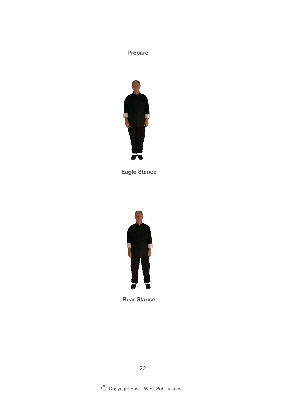**Prepare**



**Eagle Stance**



**Bear Stance**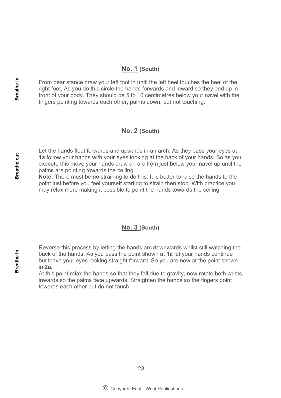#### **No. 1 (South)**

From bear stance draw your left foot in until the left heel touches the heel of the right foot. As you do this circle the hands forwards and inward so they end up in front of your body. They should be 5 to 10 centimetres below your navel with the fingers pointing towards each other, palms down, but not touching.

#### **No. 2 (South)**

Let the hands float forwards and upwards in an arch. As they pass your eyes at **1a** follow your hands with your eyes looking at the back of your hands. So as you execute this move your hands draw an arc from just below your navel up until the palms are pointing towards the ceiling.

**Note:** There must be no straining to do this. It is better to raise the hands to the point just before you feel yourself starting to strain then stop. With practice you may relax more making it possible to point the hands towards the ceiling.

#### **No. 3 (South)**

Reverse this process by letting the hands arc downwards whilst still watching the back of the hands. As you pass the point shown at **1a** let your hands continue but leave your eyes looking straight forward. So you are now at the point shown in **2a**.

At this point relax the hands so that they fall due to gravity, now rotate both wrists inwards so the palms face upwards. Straighten the hands so the fingers point towards each other but do not touch.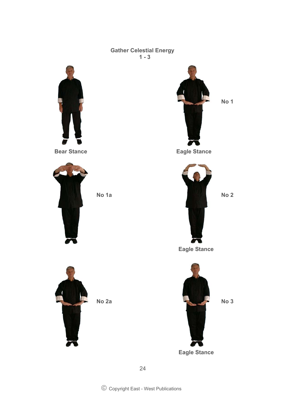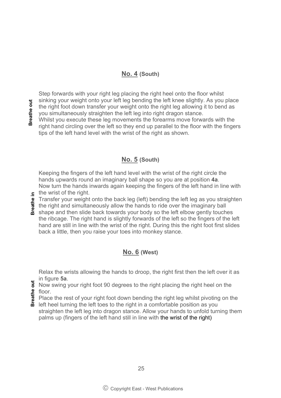#### **No. 4 (South)**

Step forwards with your right leg placing the right heel onto the floor whilst sinking your weight onto your left leg bending the left knee slightly. As you place the right foot down transfer your weight onto the right leg allowing it to bend as you simultaneously straighten the left leg into right dragon stance.

Whilst you execute these leg movements the forearms move forwards with the right hand circling over the left so they end up parallel to the floor with the fingers tips of the left hand level with the wrist of the right as shown.

#### **No. 5 (South)**

Keeping the fingers of the left hand level with the wrist of the right circle the hands upwards round an imaginary ball shape so you are at position **4a**. Now turn the hands inwards again keeping the fingers of the left hand in line with  $\epsilon$  the wrist of the right.

Transfer your weight onto the back leg (left) bending the left leg as you straighten the right and simultaneously allow the hands to ride over the imaginary ball

shape and then slide back towards your body so the left elbow gently touches the ribcage. The right hand is slightly forwards of the left so the fingers of the left hand are still in line with the wrist of the right. During this the right foot first slides back a little, then you raise your toes into monkey stance.

#### **No. 6 (West)**

Relax the wrists allowing the hands to droop, the right first then the left over it as in figure **5a**.

Now swing your right foot 90 degrees to the right placing the right heel on the floor.

- Place the rest of your right foot down bending the right leg whilst pivoting on the
- left heel turning the left toes to the right in a comfortable position as you straighten the left leg into dragon stance. Allow your hands to unfold turning them palms up (fingers of the left hand still in line with the wrist of the right)

**Breathe out Breathe in Breathe out Breathe out**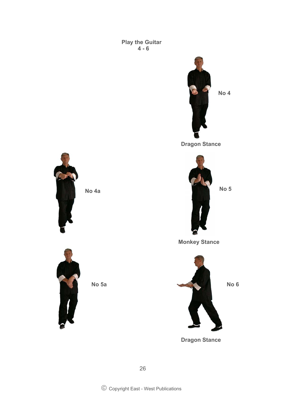#### **Play the Guitar 4 - 6**

**No 4a**

**No 5a**



**Dragon Stance**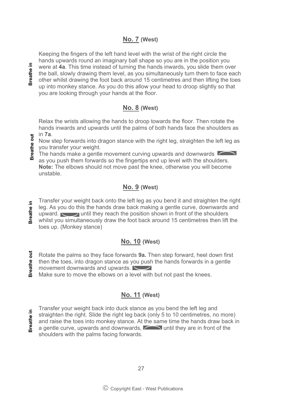#### **No. 7 (West)**

**Breathe out Breathe in Breathe out Breathe in Breathe in**  Breathe in

Keeping the fingers of the left hand level with the wrist of the right circle the hands upwards round an imaginary ball shape so you are in the position you were at **4a**. This time instead of turning the hands inwards, you slide them over the ball, slowly drawing them level, as you simultaneously turn them to face each other whilst drawing the foot back around 15 centimetres and then lifting the toes up into monkey stance. As you do this allow your head to droop slightly so that you are looking through your hands at the floor.

#### **No. 8 (West)**

Relax the wrists allowing the hands to droop towards the floor. Then rotate the hands inwards and upwards until the palms of both hands face the shoulders as in **7a**.

Now step forwards into dragon stance with the right leg, straighten the left leg as you transfer your weight.

The hands make a gentle movement curving upwards and downwards as you push them forwards so the fingertips end up level with the shoulders. **Note:** The elbows should not move past the knee, otherwise you will become unstable.

#### **No. 9 (West)**

Transfer your weight back onto the left leg as you bend it and straighten the right leg. As you do this the hands draw back making a gentle curve, downwards and upward. until they reach the position shown in front of the shoulders whilst you simultaneously draw the foot back around 15 centimetres then lift the toes up. (Monkey stance)

#### **No. 10 (West)**

**Sreathe out** Rotate the palms so they face forwards **9a.** Then step forward, heel down first then the toes, into dragon stance as you push the hands forwards in a gentle movement downwards and upwards.

Make sure to move the elbows on a level with but not past the knees.

#### **No. 11 (West)**

**Sreathe in** 

Transfer your weight back into duck stance as you bend the left leg and straighten the right. Slide the right leg back (only 5 to 10 centimetres, no more) and raise the toes into monkey stance. At the same time the hands draw back in a gentle curve, upwards and downwards,  $\sim$  until they are in front of the shoulders with the palms facing forwards.

**Breathe out** 

3reathe in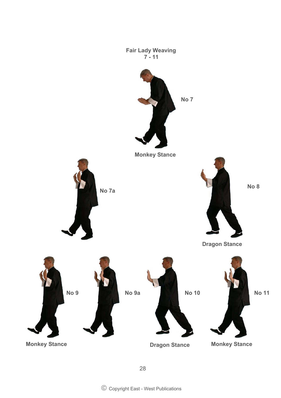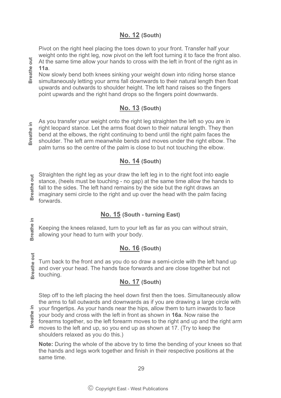#### **No. 12 (South)**

Pivot on the right heel placing the toes down to your front. Transfer half your weight onto the right leg, now pivot on the left foot turning it to face the front also. At the same time allow your hands to cross with the left in front of the right as in **11a**.

Now slowly bend both knees sinking your weight down into riding horse stance simultaneously letting your arms fall downwards to their natural length then float upwards and outwards to shoulder height. The left hand raises so the fingers point upwards and the right hand drops so the fingers point downwards.

#### **No. 13 (South)**

As you transfer your weight onto the right leg straighten the left so you are in right leopard stance. Let the arms float down to their natural length. They then bend at the elbows, the right continuing to bend until the right palm faces the shoulder. The left arm meanwhile bends and moves under the right elbow. The palm turns so the centre of the palm is close to but not touching the elbow.

#### **No. 14 (South)**

Straighten the right leg as your draw the left leg in to the right foot into eagle **Breathe out** stance, (heels must be touching - no gap) at the same time allow the hands to fall to the sides. The left hand remains by the side but the right draws an imaginary semi circle to the right and up over the head with the palm facing forwards.

#### **No. 15 (South - turning East)**

Keeping the knees relaxed, turn to your left as far as you can without strain, allowing your head to turn with your body.

#### **No. 16 (South)**

Turn back to the front and as you do so draw a semi-circle with the left hand up and over your head. The hands face forwards and are close together but not touching.

#### **No. 17 (South)**

Step off to the left placing the heel down first then the toes. Simultaneously allow the arms to fall outwards and downwards as if you are drawing a large circle with your fingertips. As your hands near the hips, allow them to turn inwards to face your body and cross with the left in front as shown in **16a**. Now raise the forearms together, so the left forearm moves to the right and up and the right arm moves to the left and up, so you end up as shown at 17. (Try to keep the

shoulders relaxed as you do this.)

**Note:** During the whole of the above try to time the bending of your knees so that the hands and legs work together and finish in their respective positions at the same time.

Breathe out

3 reathe in

3reathe in

3 reathe out

**Breathe in Breathe out Breathe in Breathe out Breathe out Breathe in Breathe in**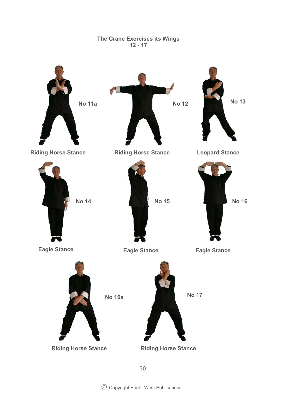#### **The Crane Exercises its Wings 12 - 17**

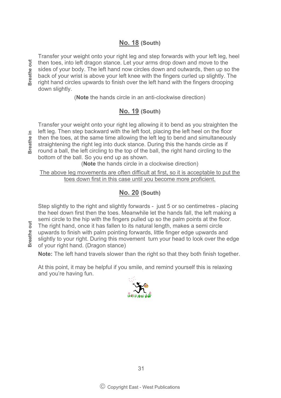#### **No. 18 (South)**

Transfer your weight onto your right leg and step forwards with your left leg, heel then toes, into left dragon stance. Let your arms drop down and move to the sides of your body. The left hand now circles down and outwards, then up so the back of your wrist is above your left knee with the fingers curled up slightly. The right hand circles upwards to finish over the left hand with the fingers drooping down slightly.

(**Note** the hands circle in an anti-clockwise direction)

#### **No. 19 (South)**

Transfer your weight onto your right leg allowing it to bend as you straighten the left leg. Then step backward with the left foot, placing the left heel on the floor then the toes, at the same time allowing the left leg to bend and simultaneously straightening the right leg into duck stance. During this the hands circle as if round a ball, the left circling to the top of the ball, the right hand circling to the bottom of the ball. So you end up as shown.

(**Note** the hands circle in a clockwise direction)

The above leg movements are often difficult at first, so it is acceptable to put the toes down first in this case until you become more proficient.

#### **No. 20 (South)**

Step slightly to the right and slightly forwards - just 5 or so centimetres - placing the heel down first then the toes. Meanwhile let the hands fall, the left making a semi circle to the hip with the fingers pulled up so the palm points at the floor. The right hand, once it has fallen to its natural length, makes a semi circle upwards to finish with palm pointing forwards, little finger edge upwards and slightly to your right. During this movement turn your head to look over the edge of your right hand. (Dragon stance)

**Note:** The left hand travels slower than the right so that they both finish together.

At this point, it may be helpful if you smile, and remind yourself this is relaxing and you're having fun.



**Breathe in** 

**Breathe out Breathe in Breathe out Breathe out** 

31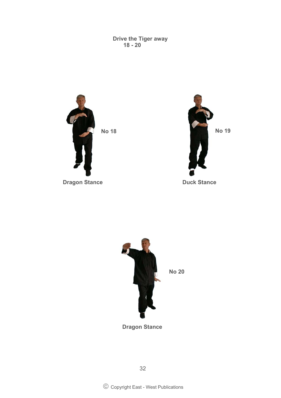**Drive the Tiger away 18 - 20** 



**Dragon Stance**



**Duck Stance**



**Dragon Stance**

32

 $\odot$  Copyright East - West Publications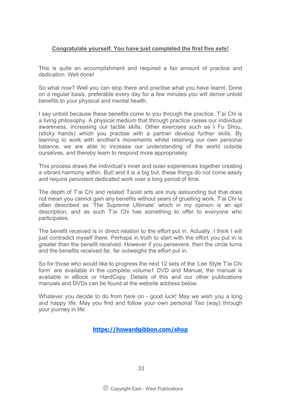#### **Congratulate yourself. You have just completed the first five sets!**

This is quite an accomplishment and required a fair amount of practice and dedication. Well done!

So what now? Well you can stop there and practise what you have learnt. Done on a regular basis, preferable every day for a few minutes you will derive untold benefits to your physical and mental health.

I say untold because these benefits come to you through the practice. T'ai Chi is a living philosophy. A physical medium that through practice raises our individual awareness, increasing our tactile skills. Other exercises such as I Fu Shou, (sticky hands) which you practise with a partner develop further skills. By learning to work with another's movements whilst retaining our own personal balance, we are able to increase our understanding of the world outside ourselves, and thereby learn to respond more appropriately.

This process draws the individual's inner and outer experiences together creating a vibrant harmony within. But! and it is a big but, these things do not come easily and require persistent dedicated work over a long period of time.

The depth of T'ai Chi and related Taoist arts are truly astounding but that does not mean you cannot gain any benefits without years of gruelling work. T'ai Chi is often described as 'The Supreme Ultimate' which in my opinion is an apt description, and as such T'ai Chi has something to offer to everyone who participates.

The benefit received is in direct relation to the effort put in. Actually, I think I will just contradict myself there. Perhaps in truth to start with the effort you put in is greater than the benefit received. However if you persevere, then the circle turns and the benefits received far, far outweighs the effort put in.

So for those who would like to progress the next 12 sets of the 'Lee Style T'ai Chi form' are available in the complete volume1 DVD and Manual, the manual is available in eBook or HardCopy. Details of this and our other publications manuals and DVDs can be found at the website address below.

Whatever you decide to do from here on - good luck! May we wish you a long and happy life. May you find and follow your own personal Tao (way) through your journey in life.

**https://howardgibbon.com/shop**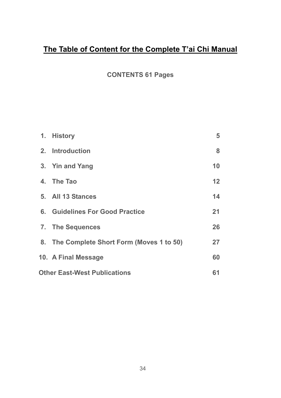#### **The Table of Content for the Complete T'ai Chi Manual**

#### **CONTENTS 61 Pages**

| 1. History                                 | 5               |
|--------------------------------------------|-----------------|
| 2. Introduction                            | 8               |
| 3. Yin and Yang                            | 10              |
| 4. The Tao                                 | 12 <sub>2</sub> |
| 5. All 13 Stances                          | 14              |
| 6. Guidelines For Good Practice            | 21              |
| 7. The Sequences                           | 26              |
| 8. The Complete Short Form (Moves 1 to 50) | 27              |
| 10. A Final Message                        | 60              |
| <b>Other East-West Publications</b>        | 61              |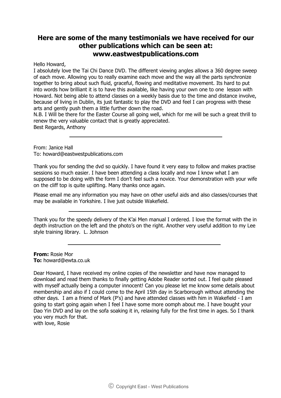#### **Here are some of the many testimonials we have received for our other publications which can be seen at: www.eastwestpublications.com**

Hello Howard,

I absolutely love the Tai Chi Dance DVD. The different viewing angles allows a 360 degree sweep of each move. Allowing you to really examine each move and the way all the parts synchronize together to bring about such fluid, graceful, flowing and meditative movement. Its hard to put into words how brilliant it is to have this available, like having your own one to one lesson with Howard. Not being able to attend classes on a weekly basis due to the time and distance involve, because of living in Dublin, its just fantastic to play the DVD and feel I can progress with these arts and gently push them a little further down the road.

N.B. I Will be there for the Easter Course all going well, which for me will be such a great thrill to renew the very valuable contact that is greatly appreciated.

Best Regards, Anthony

From: Janice Hall To: howard@eastwestpublications.com

Thank you for sending the dvd so quickly. I have found it very easy to follow and makes practise sessions so much easier. I have been attending a class locally and now I know what I am supposed to be doing with the form I don't feel such a novice. Your demonstration with your wife on the cliff top is quite uplifting. Many thanks once again.

Please email me any information you may have on other useful aids and also classes/courses that may be available in Yorkshire. I live just outside Wakefield.

Thank you for the speedy delivery of the K'ai Men manual I ordered. I love the format with the in depth instruction on the left and the photo's on the right. Another very useful addition to my Lee style training library. L. Johnson

**From:** Rosie Mor **To:** howard@ewta.co.uk

Dear Howard, I have received my online copies of the newsletter and have now managed to download and read them thanks to finally getting Adobe Reader sorted out. I feel quite pleased with myself actually being a computer innocent! Can you please let me know some details about membership and also if I could come to the April 15th day in Scarborough without attending the other days. I am a friend of Mark (P's) and have attended classes with him in Wakefield - I am going to start going again when I feel I have some more oomph about me. I have bought your Dao Yin DVD and lay on the sofa soaking it in, relaxing fully for the first time in ages. So I thank you very much for that.

with love, Rosie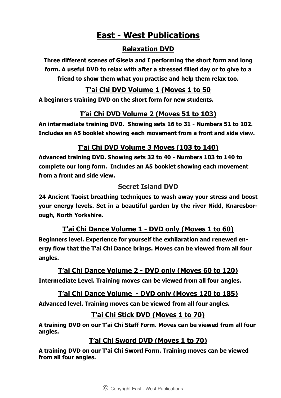#### **East - West Publications**

#### **Relaxation DVD**

**Three different scenes of Gisela and I performing the short form and long form. A useful DVD to relax with after a stressed filled day or to give to a friend to show them what you practise and help them relax too.** 

#### **T'ai Chi DVD Volume 1 (Moves 1 to 50**

**A beginners training DVD on the short form for new students.** 

#### **T'ai Chi DVD Volume 2 (Moves 51 to 103)**

**An intermediate training DVD. Showing sets 16 to 31 - Numbers 51 to 102. Includes an A5 booklet showing each movement from a front and side view.** 

#### **T'ai Chi DVD Volume 3 Moves (103 to 140)**

**Advanced training DVD. Showing sets 32 to 40 - Numbers 103 to 140 to complete our long form. Includes an A5 booklet showing each movement from a front and side view.** 

#### **Secret Island DVD**

**24 Ancient Taoist breathing techniques to wash away your stress and boost your energy levels. Set in a beautiful garden by the river Nidd, Knaresborough, North Yorkshire.** 

#### **T'ai Chi Dance Volume 1 - DVD only (Moves 1 to 60)**

**Beginners level. Experience for yourself the exhilaration and renewed energy flow that the T'ai Chi Dance brings. Moves can be viewed from all four angles.** 

#### **T'ai Chi Dance Volume 2 - DVD only (Moves 60 to 120)**

**Intermediate Level. Training moves can be viewed from all four angles.** 

#### **T'ai Chi Dance Volume - DVD only (Moves 120 to 185)**

**Advanced level. Training moves can be viewed from all four angles.** 

#### **T'ai Chi Stick DVD (Moves 1 to 70)**

**A training DVD on our T'ai Chi Staff Form. Moves can be viewed from all four angles.**

#### **T'ai Chi Sword DVD (Moves 1 to 70)**

**A training DVD on our T'ai Chi Sword Form. Training moves can be viewed from all four angles.**